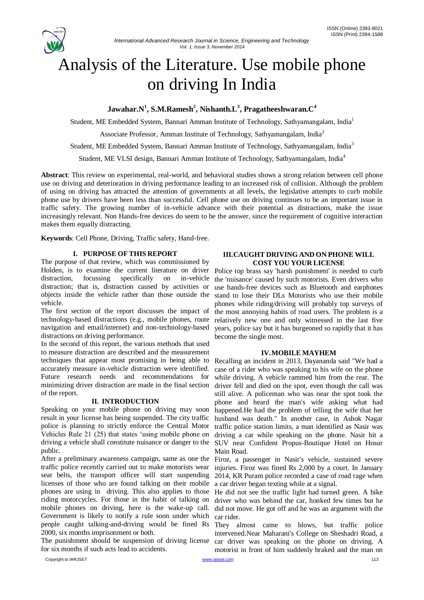

# Analysis of the Literature. Use mobile phone on driving In India

## **Jawahar.N<sup>1</sup> , S.M.Ramesh<sup>2</sup> , Nishanth.L<sup>3</sup> , Pragatheeshwaran.C<sup>4</sup>**

Student, ME Embedded System, Bannari Amman Institute of Technology, Sathyamangalam, India<sup>1</sup>

Associate Professor, Amman Institute of Technology, Sathyamangalam, India<sup>2</sup>

Student, ME Embedded System, Bannari Amman Institute of Technology, Sathyamangalam, India<sup>3</sup>

Student, ME VLSI design, Bannari Amman Institute of Technology, Sathyamangalam, India<sup>4</sup>

**Abstract**: This review on experimental, real-world, and behavioral studies shows a strong relation between cell phone use on driving and deterioration in driving performance leading to an increased risk of collision. Although the problem of using on driving has attracted the attention of governments at all levels, the legislative attempts to curb mobile phone use by drivers have been less than successful. Cell phone use on driving continues to be an important issue in traffic safety. The growing number of in-vehicle advance with their potential as distractions, make the issue increasingly relevant. Non Hands-free devices do seem to be the answer, since the requirement of cognitive interaction makes them equally distracting.

**Keywords**: Cell Phone, Driving, Traffic safety, Hand-free.

#### **I. PURPOSE OF THIS REPORT**

The purpose of that review, which was commissioned by Holden, is to examine the current literature on driver distraction, focussing specifically on in-vehicle distraction; that is, distraction caused by activities or objects inside the vehicle rather than those outside the vehicle.

The first section of the report discusses the impact of technology-based distractions (e.g., mobile phones, route navigation and email/internet) and non-technology-based distractions on driving performance.

In the second of this report, the various methods that used to measure distraction are described and the measurement techniques that appear most promising in being able to accurately measure in-vehicle distraction were identified. Future research needs and recommendations for minimizing driver distraction are made in the final section of the report.

#### **II. INTRODUCTION**

Speaking on your mobile phone on driving may soon result in your license has being suspended. The city traffic police is planning to strictly enforce the Central Motor traffic police station limits, a man identified as Nasir was Vehicles Rule 21 (25) that states 'using mobile phone on driving a car while speaking on the phone. Nasir hit a driving a vehicle shall constitute nuisance or danger to the SUV near Confident Propus-Boutique Hotel on Hosur public.

After a preliminary awareness campaign, same as one the traffic police recently carried out to make motorists wear seat belts, the transport officer will start suspending licenses of those who are found talking on their mobile phones are using in driving. This also applies to those riding motorcycles. For those in the habit of talking on mobile phones on driving, here is the wake-up call. Government is likely to notify a rule soon under which people caught talking-and-driving would be fined Rs They almost came to blows, but traffic police 2000, six months imprisonment or both.

The punishment should be suspension of driving license for six months if such acts lead to accidents.

#### **III.CAUGHT DRIVING AND ON PHONE WILL COST YOU YOUR LICENSE**

Police top brass say 'harsh punishment' is needed to curb the 'nuisance' caused by such motorists. Even drivers who use hands-free devices such as Bluetooth and earphones stand to lose their DLs Motorists who use their mobile phones while riding/driving will probably top surveys of the most annoying habits of road users. The problem is a relatively new one and only witnessed in the last five years, police say but it has burgeoned so rapidly that it has become the single most.

#### **IV.MOBILE MAYHEM**

Recalling an incident in 2013, Dayananda said "We had a case of a rider who was speaking to his wife on the phone while driving. A vehicle rammed him from the rear. The driver fell and died on the spot, even though the call was still alive. A policeman who was near the spot took the phone and heard the man's wife asking what had happened.He had the problem of telling the wife that her husband was death." In another case, in Ashok Nagar Main Road.

Firoz, a passenger in Nasir's vehicle, sustained severe injuries. Firoz was fined Rs 2,000 by a court. In January 2014, KR Puram police recorded a case of road rage when a car driver began texting while at a signal.

He did not see the traffic light had turned green. A bike driver who was behind the car, honked few times but he did not move. He got off and he was an argument with the car rider.

intervened.Near Maharani's College on Sheshadri Road, a car driver was speaking on the phone on driving. A motorist in front of him suddenly braked and the man on

Copyright to IARJSET [www.iarjset.com](http://www.iarjset.com/) 113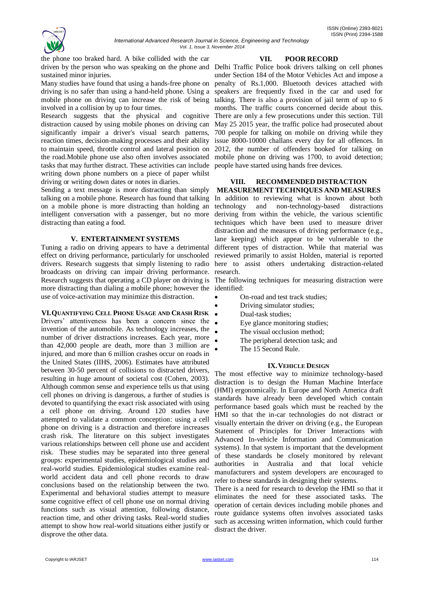

the phone too braked hard. A bike collided with the car sustained minor injuries.

Many studies have found that using a hands-free phone on driving is no safer than using a hand-held phone. Using a mobile phone on driving can increase the risk of being involved in a collision by up to four times.

Research suggests that the physical and cognitive distraction caused by using mobile phones on driving can significantly impair a driver's visual search patterns, reaction times, decision-making processes and their ability to maintain speed, throttle control and lateral position on the road.Mobile phone use also often involves associated tasks that may further distract. These activities can include people have started using hands free devices. writing down phone numbers on a piece of paper whilst driving or writing down dates or notes in diaries.

Sending a text message is more distracting than simply talking on a mobile phone. Research has found that talking on a mobile phone is more distracting than holding an intelligent conversation with a passenger, but no more distracting than eating a food.

#### **V. ENTERTAINMENT SYSTEMS**

Tuning a radio on driving appears to have a detrimental effect on driving performance, particularly for unschooled broadcasts on driving can impair driving performance. research. more distracting than dialing a mobile phone; however the identified: use of voice-activation may minimize this distraction.

**VI.QUANTIFYING CELL PHONE USAGE AND CRASH RISK** Drivers' attentiveness has been a concern since the invention of the automobile. As technology increases, the number of driver distractions increases. Each year, more than 42,000 people are death, more than 3 million are injured, and more than 6 million crashes occur on roads in the United States (IIHS, 2006). Estimates have attributed between 30-50 percent of collisions to distracted drivers, resulting in huge amount of societal cost (Cohen, 2003). Although common sense and experience tells us that using cell phones on driving is dangerous, a further of studies is devoted to quantifying the exact risk associated with using a cell phone on driving. Around 120 studies have attempted to validate a common conception: using a cell phone on driving is a distraction and therefore increases crash risk. The literature on this subject investigates various relationships between cell phone use and accident risk. These studies may be separated into three general groups: experimental studies, epidemiological studies and real-world studies. Epidemiological studies examine realworld accident data and cell phone records to draw conclusions based on the relationship between the two. Experimental and behavioral studies attempt to measure some cognitive effect of cell phone use on normal driving functions such as visual attention, following distance, reaction time, and other driving tasks. Real-world studies attempt to show how real-world situations either justify or disprove the other data.

#### **VII. POOR RECORD**

driven by the person who was speaking on the phone and Delhi Traffic Police book drivers talking on cell phones under Section 184 of the Motor Vehicles Act and impose a penalty of Rs.1,000. Bluetooth devices attached with speakers are frequently fixed in the car and used for talking. There is also a provision of jail term of up to 6 months. The traffic courts concerned decide about this. There are only a few prosecutions under this section. Till May 25 2015 year, the traffic police had prosecuted about 700 people for talking on mobile on driving while they issue 8000-10000 challans every day for all offences. In 2012, the number of offenders booked for talking on mobile phone on driving was 1700, to avoid detection;

#### **VIII. RECOMMENDED DISTRACTION MEASUREMENT TECHNIQUES AND MEASURES**

drivers. Research suggests that simply listening to radio here to assist others undertaking distraction-related In addition to reviewing what is known about both technology and non-technology-based distractions deriving from within the vehicle, the various scientific techniques which have been used to measure driver distraction and the measures of driving performance (e.g., lane keeping) which appear to be vulnerable to the different types of distraction. While that material was reviewed primarily to assist Holden, material is reported

Research suggests that operating a CD player on driving is The following techniques for measuring distraction were

- On-road and test track studies;
- Driving simulator studies;
- Dual-task studies;
	- Eye glance monitoring studies;
	- The visual occlusion method;
	- The peripheral detection task; and
	- The 15 Second Rule.

#### **IX.VEHICLE DESIGN**

The most effective way to minimize technology-based distraction is to design the Human Machine Interface (HMI) ergonomically. In Europe and North America draft standards have already been developed which contain performance based goals which must be reached by the HMI so that the in-car technologies do not distract or visually entertain the driver on driving (e.g., the European Statement of Principles for Driver Interactions with Advanced In-vehicle Information and Communication systems). In that system is important that the development of these standards be closely monitored by relevant authorities in Australia and that local vehicle manufacturers and system developers are encouraged to refer to these standards in designing their systems.

There is a need for research to develop the HMI so that it eliminates the need for these associated tasks. The operation of certain devices including mobile phones and route guidance systems often involves associated tasks such as accessing written information, which could further distract the driver.